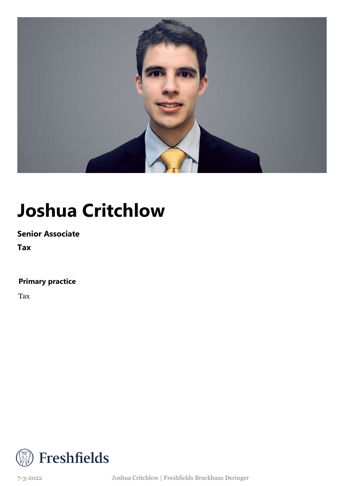

## **Joshua Critchlow**

### **Senior Associate**

**Tax**

### **Primary practice**

Tax



7-3-2022 Joshua Critchlow | Freshfields Bruckhaus Deringer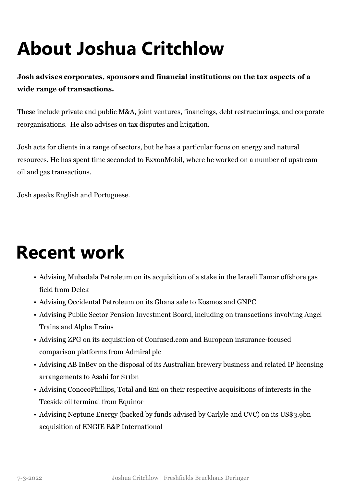# **About Joshua Critchlow**

**Josh advises corporates, sponsors and financial institutions on the tax aspects of a wide range of transactions.** 

These include private and public M&A, joint ventures, financings, debt restructurings, and corporate reorganisations. He also advises on tax disputes and litigation.

Josh acts for clients in a range of sectors, but he has a particular focus on energy and natural resources. He has spent time seconded to ExxonMobil, where he worked on a number of upstream oil and gas transactions.

Josh speaks English and Portuguese.

### **Recent work**

- Advising Mubadala Petroleum on its acquisition of a stake in the Israeli Tamar offshore gas field from Delek
- Advising Occidental Petroleum on its Ghana sale to Kosmos and GNPC
- Advising Public Sector Pension Investment Board, including on transactions involving Angel Trains and Alpha Trains
- Advising ZPG on its acquisition of Confused.com and European insurance-focused comparison platforms from Admiral plc
- Advising AB InBev on the disposal of its Australian brewery business and related IP licensing arrangements to Asahi for \$11bn
- Advising ConocoPhillips, Total and Eni on their respective acquisitions of interests in the Teeside oil terminal from Equinor
- Advising Neptune Energy (backed by funds advised by Carlyle and CVC) on its US\$3.9bn acquisition of ENGIE E&P International